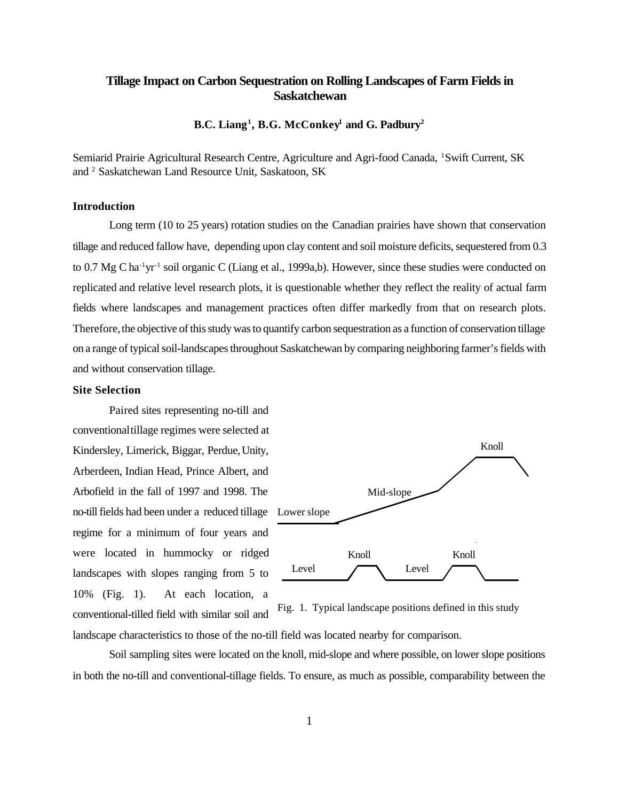# **Tillage Impact on Carbon Sequestration on Rolling Landscapes of Farm Fields in Saskatchewan**

**B.C. Liang<sup>1</sup> , B.G. McConkey<sup>1</sup> and G. Padbury<sup>2</sup>**

Semiarid Prairie Agricultural Research Centre, Agriculture and Agri-food Canada, <sup>1</sup>Swift Current, SK and<sup>2</sup> Saskatchewan Land Resource Unit, Saskatoon, SK

### **Introduction**

Long term (10 to 25 years) rotation studies on the Canadian prairies have shown that conservation tillage and reduced fallow have, depending upon clay content and soil moisture deficits, sequestered from 0.3 to 0.7 Mg C ha<sup>-1</sup>yr<sup>-1</sup> soil organic C (Liang et al., 1999a,b). However, since these studies were conducted on replicated and relative level research plots, it is questionable whether they reflect the reality of actual farm fields where landscapes and management practices often differ markedly from that on research plots. Therefore, the objective of this study was to quantify carbon sequestration as a function of conservation tillage on a range of typical soil-landscapes throughout Saskatchewan by comparing neighboring farmer's fields with and without conservation tillage.

#### **Site Selection**

no-till fields had been under a reduced tillage Lower slope Paired sites representing no-till and conventional tillage regimes were selected at Kindersley, Limerick, Biggar, Perdue, Unity, Arberdeen, Indian Head, Prince Albert, and Arbofield in the fall of 1997 and 1998. The regime for a minimum of four years and were located in hummocky or ridged landscapes with slopes ranging from 5 to 10% (Fig. 1). At each location, a conventional-tilled field with similar soil and



Fig. 1. Typical landscape positions defined in this study

landscape characteristics to those of the no-till field was located nearby for comparison.

Soil sampling sites were located on the knoll, mid-slope and where possible, on lower slope positions in both the no-till and conventional-tillage fields. To ensure, as much as possible, comparability between the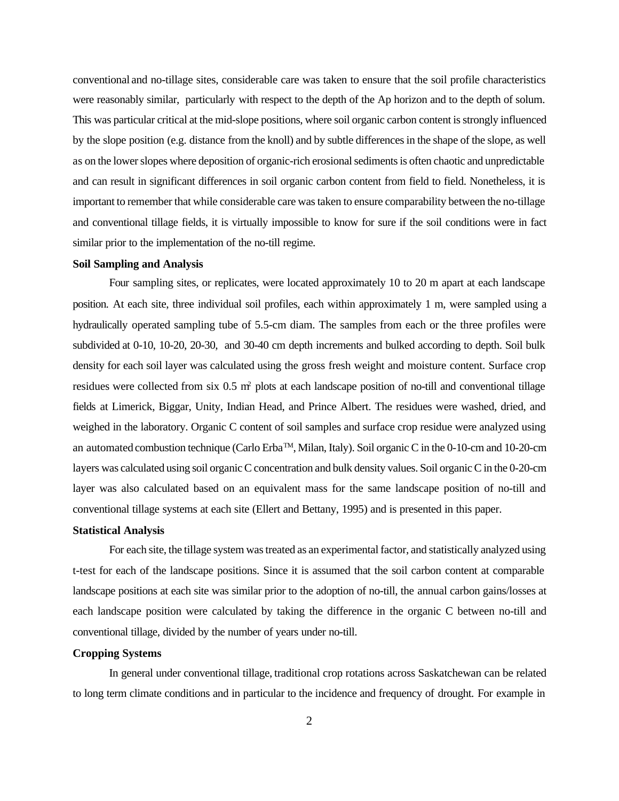conventional and no-tillage sites, considerable care was taken to ensure that the soil profile characteristics were reasonably similar, particularly with respect to the depth of the Ap horizon and to the depth of solum. This was particular critical at the mid-slope positions, where soil organic carbon content is strongly influenced by the slope position (e.g. distance from the knoll) and by subtle differences in the shape of the slope, as well as on the lower slopes where deposition of organic-rich erosional sediments is often chaotic and unpredictable and can result in significant differences in soil organic carbon content from field to field. Nonetheless, it is important to remember that while considerable care was taken to ensure comparability between the no-tillage and conventional tillage fields, it is virtually impossible to know for sure if the soil conditions were in fact similar prior to the implementation of the no-till regime.

### **Soil Sampling and Analysis**

Four sampling sites, or replicates, were located approximately 10 to 20 m apart at each landscape position. At each site, three individual soil profiles, each within approximately 1 m, were sampled using a hydraulically operated sampling tube of 5.5-cm diam. The samples from each or the three profiles were subdivided at 0-10, 10-20, 20-30, and 30-40 cm depth increments and bulked according to depth. Soil bulk density for each soil layer was calculated using the gross fresh weight and moisture content. Surface crop residues were collected from six 0.5 m<sup>2</sup> plots at each landscape position of no-till and conventional tillage fields at Limerick, Biggar, Unity, Indian Head, and Prince Albert. The residues were washed, dried, and weighed in the laboratory. Organic C content of soil samples and surface crop residue were analyzed using an automated combustion technique (Carlo ErbaTM, Milan, Italy). Soil organic C in the 0-10-cm and 10-20-cm layers was calculated using soil organic C concentration and bulk density values. Soil organic C in the 0-20-cm layer was also calculated based on an equivalent mass for the same landscape position of no-till and conventional tillage systems at each site (Ellert and Bettany, 1995) and is presented in this paper.

### **Statistical Analysis**

For each site, the tillage system was treated as an experimental factor, and statistically analyzed using t-test for each of the landscape positions. Since it is assumed that the soil carbon content at comparable landscape positions at each site was similar prior to the adoption of no-till, the annual carbon gains/losses at each landscape position were calculated by taking the difference in the organic C between no-till and conventional tillage, divided by the number of years under no-till.

#### **Cropping Systems**

In general under conventional tillage, traditional crop rotations across Saskatchewan can be related to long term climate conditions and in particular to the incidence and frequency of drought. For example in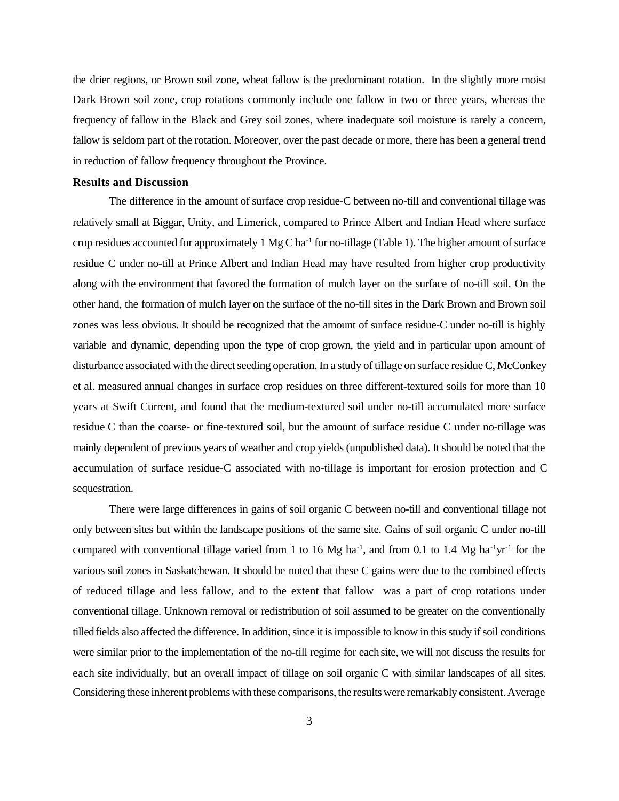the drier regions, or Brown soil zone, wheat fallow is the predominant rotation. In the slightly more moist Dark Brown soil zone, crop rotations commonly include one fallow in two or three years, whereas the frequency of fallow in the Black and Grey soil zones, where inadequate soil moisture is rarely a concern, fallow is seldom part of the rotation. Moreover, over the past decade or more, there has been a general trend in reduction of fallow frequency throughout the Province.

#### **Results and Discussion**

The difference in the amount of surface crop residue-C between no-till and conventional tillage was relatively small at Biggar, Unity, and Limerick, compared to Prince Albert and Indian Head where surface crop residues accounted for approximately  $1 \text{ Mg C} \text{ ha}^{-1}$  for no-tillage (Table 1). The higher amount of surface residue C under no-till at Prince Albert and Indian Head may have resulted from higher crop productivity along with the environment that favored the formation of mulch layer on the surface of no-till soil. On the other hand, the formation of mulch layer on the surface of the no-till sites in the Dark Brown and Brown soil zones was less obvious. It should be recognized that the amount of surface residue-C under no-till is highly variable and dynamic, depending upon the type of crop grown, the yield and in particular upon amount of disturbance associated with the direct seeding operation. In a study of tillage on surface residue C, McConkey et al. measured annual changes in surface crop residues on three different-textured soils for more than 10 years at Swift Current, and found that the medium-textured soil under no-till accumulated more surface residue C than the coarse- or fine-textured soil, but the amount of surface residue C under no-tillage was mainly dependent of previous years of weather and crop yields (unpublished data). It should be noted that the accumulation of surface residue-C associated with no-tillage is important for erosion protection and C sequestration.

There were large differences in gains of soil organic C between no-till and conventional tillage not only between sites but within the landscape positions of the same site. Gains of soil organic C under no-till compared with conventional tillage varied from 1 to 16 Mg ha<sup>-1</sup>, and from 0.1 to 1.4 Mg ha<sup>-1</sup>yr<sup>-1</sup> for the various soil zones in Saskatchewan. It should be noted that these C gains were due to the combined effects of reduced tillage and less fallow, and to the extent that fallow was a part of crop rotations under conventional tillage. Unknown removal or redistribution of soil assumed to be greater on the conventionally tilled fields also affected the difference. In addition, since it is impossible to know in this study if soil conditions were similar prior to the implementation of the no-till regime for each site, we will not discuss the results for each site individually, but an overall impact of tillage on soil organic C with similar landscapes of all sites. Considering these inherent problems with these comparisons, the results were remarkably consistent. Average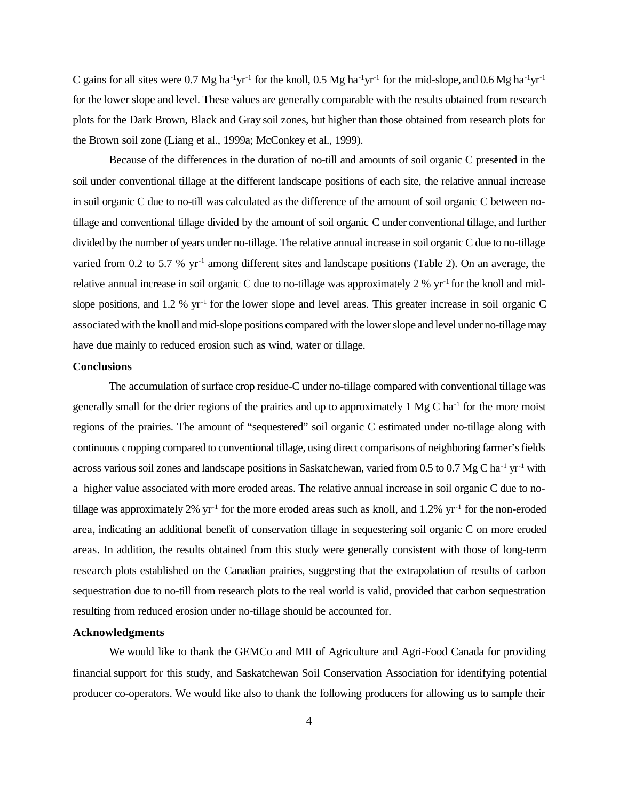C gains for all sites were 0.7 Mg ha<sup>-1</sup>yr<sup>-1</sup> for the knoll, 0.5 Mg ha<sup>-1</sup>yr<sup>-1</sup> for the mid-slope, and 0.6 Mg ha<sup>-1</sup>yr<sup>-1</sup> for the lower slope and level. These values are generally comparable with the results obtained from research plots for the Dark Brown, Black and Gray soil zones, but higher than those obtained from research plots for the Brown soil zone (Liang et al., 1999a; McConkey et al., 1999).

Because of the differences in the duration of no-till and amounts of soil organic C presented in the soil under conventional tillage at the different landscape positions of each site, the relative annual increase in soil organic C due to no-till was calculated as the difference of the amount of soil organic C between notillage and conventional tillage divided by the amount of soil organic C under conventional tillage, and further divided by the number of years under no-tillage. The relative annual increase in soil organic C due to no-tillage varied from 0.2 to 5.7 % yr<sup>-1</sup> among different sites and landscape positions (Table 2). On an average, the relative annual increase in soil organic C due to no-tillage was approximately 2 % yr-1 for the knoll and midslope positions, and 1.2 % yr<sup>-1</sup> for the lower slope and level areas. This greater increase in soil organic C associated with the knoll and mid-slope positions compared with the lower slope and level under no-tillage may have due mainly to reduced erosion such as wind, water or tillage.

### **Conclusions**

The accumulation of surface crop residue-C under no-tillage compared with conventional tillage was generally small for the drier regions of the prairies and up to approximately  $1 \text{ Mg C} \text{ ha}^{-1}$  for the more moist regions of the prairies. The amount of "sequestered" soil organic C estimated under no-tillage along with continuous cropping compared to conventional tillage, using direct comparisons of neighboring farmer's fields across various soil zones and landscape positions in Saskatchewan, varied from 0.5 to 0.7 Mg C ha<sup>-1</sup> yr<sup>-1</sup> with a higher value associated with more eroded areas. The relative annual increase in soil organic C due to notillage was approximately 2%  $yr^{-1}$  for the more eroded areas such as knoll, and 1.2%  $yr^{-1}$  for the non-eroded area, indicating an additional benefit of conservation tillage in sequestering soil organic C on more eroded areas. In addition, the results obtained from this study were generally consistent with those of long-term research plots established on the Canadian prairies, suggesting that the extrapolation of results of carbon sequestration due to no-till from research plots to the real world is valid, provided that carbon sequestration resulting from reduced erosion under no-tillage should be accounted for.

### **Acknowledgments**

We would like to thank the GEMCo and MII of Agriculture and Agri-Food Canada for providing financial support for this study, and Saskatchewan Soil Conservation Association for identifying potential producer co-operators. We would like also to thank the following producers for allowing us to sample their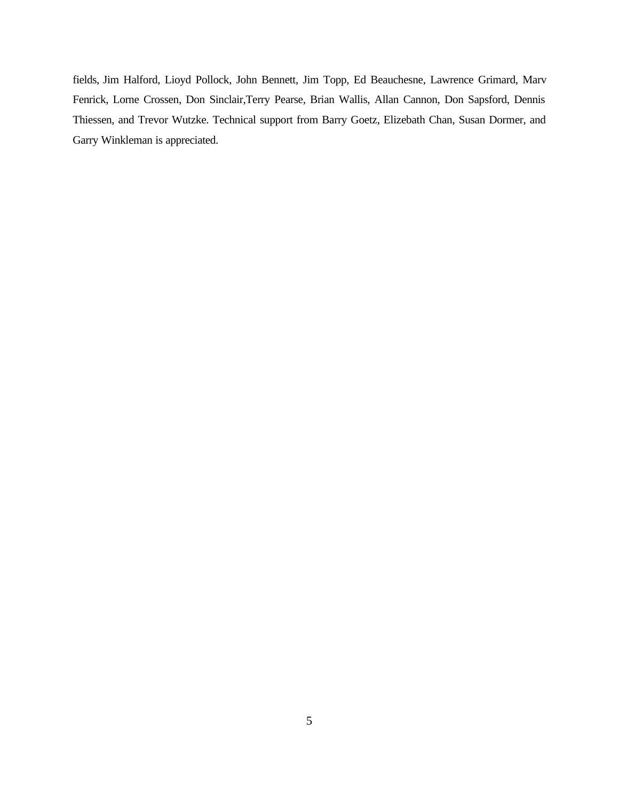fields, Jim Halford, Lioyd Pollock, John Bennett, Jim Topp, Ed Beauchesne, Lawrence Grimard, Marv Fenrick, Lorne Crossen, Don Sinclair,Terry Pearse, Brian Wallis, Allan Cannon, Don Sapsford, Dennis Thiessen, and Trevor Wutzke. Technical support from Barry Goetz, Elizebath Chan, Susan Dormer, and Garry Winkleman is appreciated.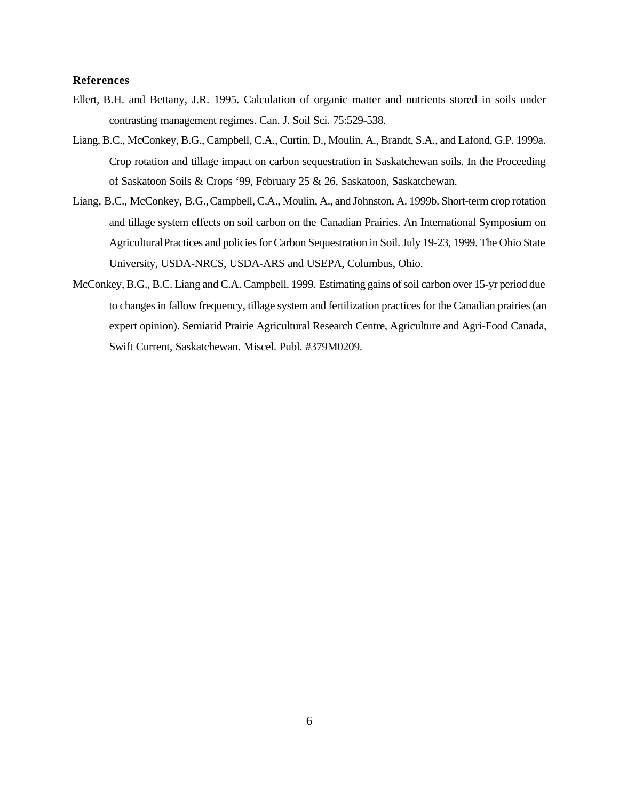## **References**

- Ellert, B.H. and Bettany, J.R. 1995. Calculation of organic matter and nutrients stored in soils under contrasting management regimes. Can. J. Soil Sci. 75:529-538.
- Liang, B.C., McConkey, B.G., Campbell, C.A., Curtin, D., Moulin, A., Brandt, S.A., and Lafond, G.P. 1999a. Crop rotation and tillage impact on carbon sequestration in Saskatchewan soils. In the Proceeding of Saskatoon Soils & Crops '99, February 25 & 26, Saskatoon, Saskatchewan.
- Liang, B.C., McConkey, B.G., Campbell, C.A., Moulin, A., and Johnston, A. 1999b. Short-term crop rotation and tillage system effects on soil carbon on the Canadian Prairies. An International Symposium on Agricultural Practices and policies for Carbon Sequestration in Soil. July 19-23, 1999. The Ohio State University, USDA-NRCS, USDA-ARS and USEPA, Columbus, Ohio.
- McConkey, B.G., B.C. Liang and C.A. Campbell. 1999. Estimating gains of soil carbon over 15-yr period due to changes in fallow frequency, tillage system and fertilization practices for the Canadian prairies (an expert opinion). Semiarid Prairie Agricultural Research Centre, Agriculture and Agri-Food Canada, Swift Current, Saskatchewan. Miscel. Publ. #379M0209.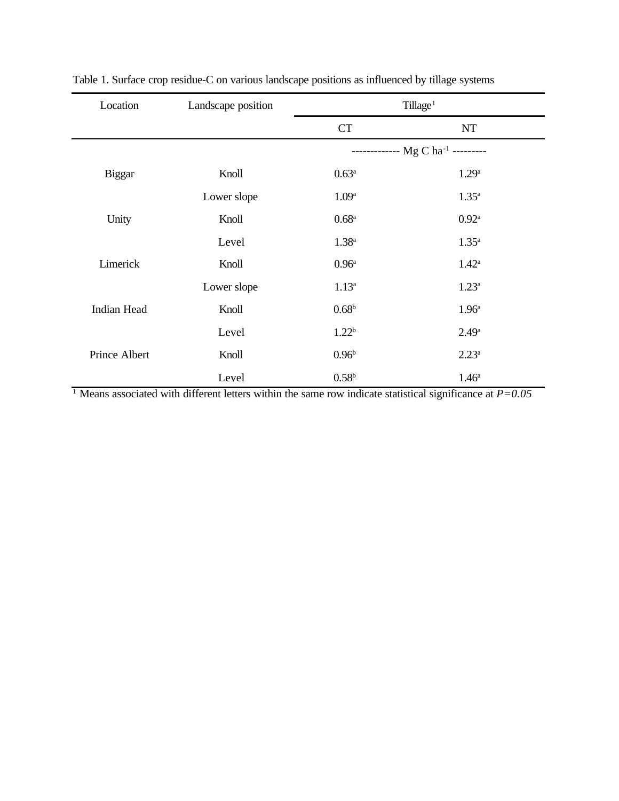| Location      | Landscape position | Tillage <sup>1</sup>                          |                   |  |  |  |
|---------------|--------------------|-----------------------------------------------|-------------------|--|--|--|
|               |                    | <b>CT</b>                                     | NT                |  |  |  |
|               |                    | ------------- Mg C ha <sup>-1</sup> --------- |                   |  |  |  |
| <b>Biggar</b> | Knoll              | $0.63^{\rm a}$                                | 1.29 <sup>a</sup> |  |  |  |
|               | Lower slope        | 1.09 <sup>a</sup>                             | $1.35^{\rm a}$    |  |  |  |
| Unity         | Knoll              | 0.68 <sup>a</sup>                             | $0.92^{\rm a}$    |  |  |  |
|               | Level              | $1.38^{a}$                                    | $1.35^{\rm a}$    |  |  |  |
| Limerick      | Knoll              | 0.96 <sup>a</sup>                             | $1.42^{\rm a}$    |  |  |  |
|               | Lower slope        | $1.13^a$                                      | $1.23^a$          |  |  |  |
| Indian Head   | Knoll              | 0.68 <sup>b</sup>                             | 1.96 <sup>a</sup> |  |  |  |
|               | Level              | 1.22 <sup>b</sup>                             | 2.49 <sup>a</sup> |  |  |  |
| Prince Albert | Knoll              | 0.96 <sup>b</sup>                             | $2.23^{\rm a}$    |  |  |  |
|               | Level              | 0.58 <sup>b</sup>                             | 1.46 <sup>a</sup> |  |  |  |

Table 1. Surface crop residue-C on various landscape positions as influenced by tillage systems

1 Means associated with different letters within the same row indicate statistical significance at *P=0.05*